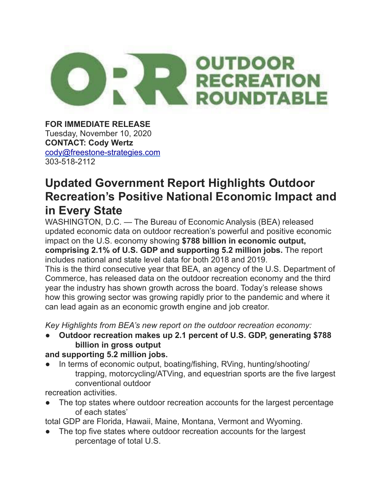

**FOR IMMEDIATE RELEASE** Tuesday, November 10, 2020 **CONTACT: Cody Wertz** [cody@freestone-strategies.com](mailto:cody@freestone-strategies.com) 303-518-2112

## **Updated Government Report Highlights Outdoor Recreation's Positive National Economic Impact and in Every State**

WASHINGTON, D.C. — The Bureau of Economic Analysis (BEA) released updated economic data on outdoor recreation's powerful and positive economic impact on the U.S. economy showing **\$788 billion in economic output, comprising 2.1% of U.S. GDP and supporting 5.2 million jobs.** The report includes national and state level data for both 2018 and 2019.

This is the third consecutive year that BEA, an agency of the U.S. Department of Commerce, has released data on the outdoor recreation economy and the third year the industry has shown growth across the board. Today's release shows how this growing sector was growing rapidly prior to the pandemic and where it can lead again as an economic growth engine and job creator.

*Key Highlights from BEA's new report on the outdoor recreation economy:*

● **Outdoor recreation makes up 2.1 percent of U.S. GDP, generating \$788 billion in gross output**

## **and supporting 5.2 million jobs.**

In terms of economic output, boating/fishing, RVing, hunting/shooting/ trapping, motorcycling/ATVing, and equestrian sports are the five largest conventional outdoor

recreation activities.

The top states where outdoor recreation accounts for the largest percentage of each states'

total GDP are Florida, Hawaii, Maine, Montana, Vermont and Wyoming.

The top five states where outdoor recreation accounts for the largest percentage of total U.S.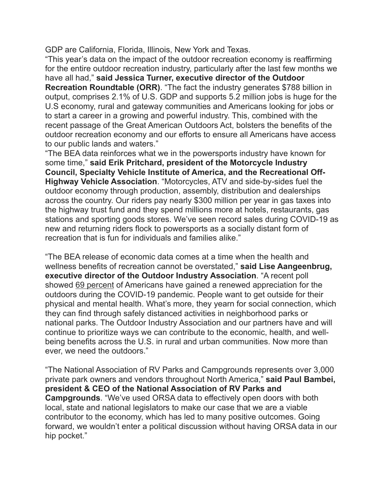GDP are California, Florida, Illinois, New York and Texas.

"This year's data on the impact of the outdoor recreation economy is reaffirming for the entire outdoor recreation industry, particularly after the last few months we have all had," **said Jessica Turner, executive director of the Outdoor Recreation Roundtable (ORR)**. "The fact the industry generates \$788 billion in output, comprises 2.1% of U.S. GDP and supports 5.2 million jobs is huge for the U.S economy, rural and gateway communities and Americans looking for jobs or to start a career in a growing and powerful industry. This, combined with the recent passage of the Great American Outdoors Act, bolsters the benefits of the outdoor recreation economy and our efforts to ensure all Americans have access to our public lands and waters."

"The BEA data reinforces what we in the powersports industry have known for some time," **said Erik Pritchard, president of the Motorcycle Industry Council, Specialty Vehicle Institute of America, and the Recreational Off-Highway Vehicle Association**. "Motorcycles, ATV and side-by-sides fuel the outdoor economy through production, assembly, distribution and dealerships across the country. Our riders pay nearly \$300 million per year in gas taxes into the highway trust fund and they spend millions more at hotels, restaurants, gas stations and sporting goods stores. We've seen record sales during COVID-19 as new and returning riders flock to powersports as a socially distant form of recreation that is fun for individuals and families alike."

"The BEA release of economic data comes at a time when the health and wellness benefits of recreation cannot be overstated," **said Lise Aangeenbrug, executive director of the Outdoor Industry Association**. "A recent poll showed [69 percent](https://nam02.safelinks.protection.outlook.com/?url=https%3A%2F%2Fmailchi.mp%2F77d0e7d0eb9d%2Fthe-insight-latest-trends-from-the-harris-poll-304626&data=04%7C01%7CJMoser%40aimmedia.com%7C4401874e434e47eeba9608d8858a44bf%7C8e799f8afc0b4171a6cfb7070a2ae405%7C0%7C1%7C637406176224331746%7CUnknown%7CTWFpbGZsb3d8eyJWIjoiMC4wLjAwMDAiLCJQIjoiV2luMzIiLCJBTiI6Ik1haWwiLCJXVCI6Mn0%3D%7C3000&sdata=ugSvaavrtOIQwgU8AzIGwIxagVki1KWobv1Yj2I2Oes%3D&reserved=0) of Americans have gained a renewed appreciation for the outdoors during the COVID-19 pandemic. People want to get outside for their physical and mental health. What's more, they yearn for social connection, which they can find through safely distanced activities in neighborhood parks or national parks. The Outdoor Industry Association and our partners have and will continue to prioritize ways we can contribute to the economic, health, and wellbeing benefits across the U.S. in rural and urban communities. Now more than ever, we need the outdoors."

"The National Association of RV Parks and Campgrounds represents over 3,000 private park owners and vendors throughout North America," **said Paul Bambei, president & CEO of the National Association of RV Parks and Campgrounds**. "We've used ORSA data to effectively open doors with both local, state and national legislators to make our case that we are a viable contributor to the economy, which has led to many positive outcomes. Going forward, we wouldn't enter a political discussion without having ORSA data in our hip pocket."